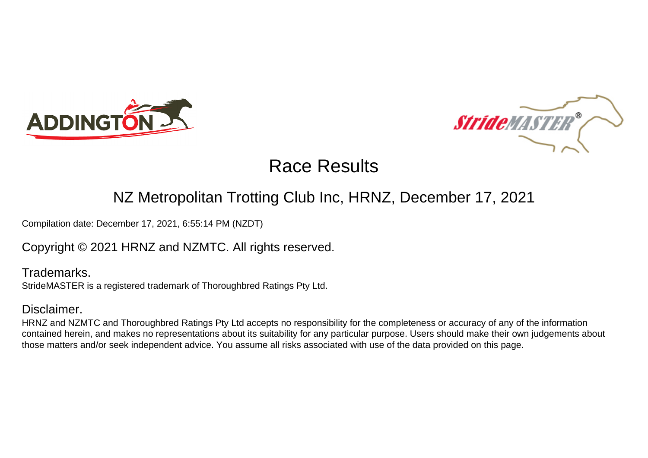



# Race Results

## NZ Metropolitan Trotting Club Inc, HRNZ, December 17, 2021

Compilation date: December 17, 2021, 6:55:14 PM (NZDT)

Copyright © 2021 HRNZ and NZMTC. All rights reserved.

Trademarks. StrideMASTER is a registered trademark of Thoroughbred Ratings Pty Ltd.

### Disclaimer.

HRNZ and NZMTC and Thoroughbred Ratings Pty Ltd accepts no responsibility for the completeness or accuracy of any of the information contained herein, and makes no representations about its suitability for any particular purpose. Users should make their own judgements about those matters and/or seek independent advice. You assume all risks associated with use of the data provided on this page.